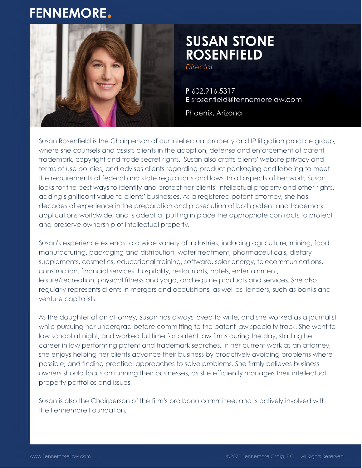# **FENNEMORE.**



# **SUSAN STONE ROSENFIELD**

**Director** 

P 602.916.5317 E srosenfield@fennemorelaw.com

Phoenix, Arizona

Susan Rosenfield is the Chairperson of our intellectual property and IP litigation practice group, where she counsels and assists clients in the adoption, defense and enforcement of patent, trademark, copyright and trade secret rights. Susan also crafts clients' website privacy and terms of use policies, and advises clients regarding product packaging and labeling to meet the requirements of federal and state regulations and laws. In all aspects of her work, Susan looks for the best ways to identify and protect her clients' intellectual property and other rights, adding significant value to clients' businesses. As a registered patent attorney, she has decades of experience in the preparation and prosecution of both patent and trademark applications worldwide, and is adept at putting in place the appropriate contracts to protect and preserve ownership of intellectual property.

Susan's experience extends to a wide variety of industries, including agriculture, mining, food manufacturing, packaging and distribution, water treatment, pharmaceuticals, dietary supplements, cosmetics, educational training, software, solar energy, telecommunications, construction, financial services, hospitality, restaurants, hotels, entertainment, leisure/recreation, physical fitness and yoga, and equine products and services. She also regularly represents clients in mergers and acquisitions, as well as lenders, such as banks and venture capitalists.

As the daughter of an attorney, Susan has always loved to write, and she worked as a journalist while pursuing her undergrad before committing to the patent law specialty track. She went to law school at night, and worked full time for patent law firms during the day, starting her career in law performing patent and trademark searches. In her current work as an attorney, she enjoys helping her clients advance their business by proactively avoiding problems where possible, and finding practical approaches to solve problems. She firmly believes business owners should focus on running their businesses, as she efficiently manages their intellectual property portfolios and issues.

Susan is also the Chairperson of the firm's pro bono committee, and is actively involved with the Fennemore Foundation.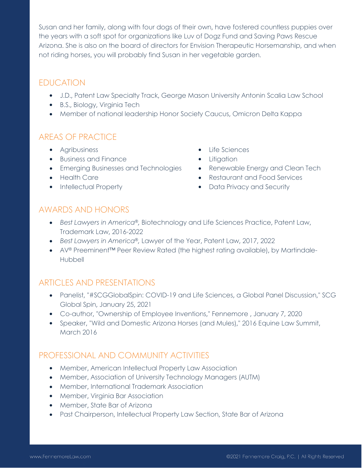Susan and her family, along with four dogs of their own, have fostered countless puppies over the years with a soft spot for organizations like Luv of Dogz Fund and Saving Paws Rescue Arizona. She is also on the board of directors for Envision Therapeutic Horsemanship, and when not riding horses, you will probably find Susan in her vegetable garden.

## EDUCATION

- J.D., Patent Law Specialty Track, George Mason University Antonin Scalia Law School
- B.S., Biology, Virginia Tech
- Member of national leadership Honor Society Caucus, Omicron Delta Kappa

# AREAS OF PRACTICE

- **•** Agribusiness
- Business and Finance
- **•** Emerging Businesses and Technologies
- Health Care
- Intellectual Property
- Life Sciences
- **•** Litigation
- Renewable Energy and Clean Tech
	- Restaurant and Food Services
	- Data Privacy and Security

#### AWARDS AND HONORS

- *Best Lawyers in America®,* Biotechnology and Life Sciences Practice, Patent Law, Trademark Law, 2016-2022
- *Best Lawyers in America*®*,* Lawyer of the Year, Patent Law, 2017, 2022
- AV® Preeminent<sup>™</sup> Peer Review Rated (the highest rating available), by Martindale-Hubbell

#### ARTICLES AND PRESENTATIONS

- Panelist, "#SCGGlobalSpin: COVID-19 and Life Sciences, a Global Panel Discussion," SCG Global Spin, January 25, 2021
- Co-author, "Ownership of Employee Inventions," Fennemore , January 7, 2020
- Speaker, "Wild and Domestic Arizona Horses (and Mules)," 2016 Equine Law Summit, March 2016

### PROFESSIONAL AND COMMUNITY ACTIVITIES

- Member, American Intellectual Property Law Association
- Member, Association of University Technology Managers (AUTM)
- Member, International Trademark Association
- Member, Virginia Bar Association
- Member, State Bar of Arizona
- Past Chairperson, Intellectual Property Law Section, State Bar of Arizona